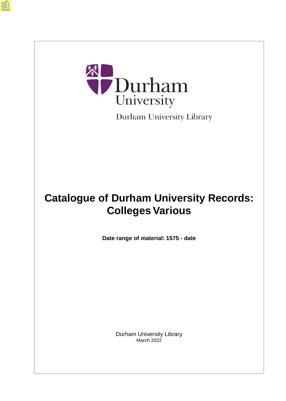

Durham University Library

# **Catalogue of Durham University Records: Colleges Various**

**Date range of material: 1575 - date**

Durham University Library March 2022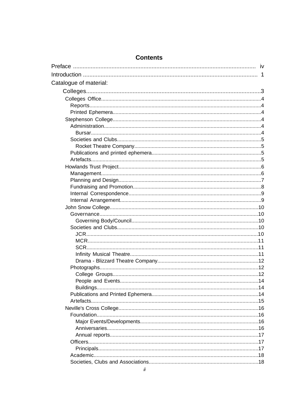| Catalogue of material: |  |
|------------------------|--|
|                        |  |
|                        |  |
|                        |  |
|                        |  |
|                        |  |
|                        |  |
|                        |  |
|                        |  |
|                        |  |
|                        |  |
|                        |  |
|                        |  |
|                        |  |
|                        |  |
|                        |  |
|                        |  |
|                        |  |
|                        |  |
|                        |  |
|                        |  |
|                        |  |
|                        |  |
|                        |  |
|                        |  |
|                        |  |
|                        |  |
|                        |  |
|                        |  |
|                        |  |
|                        |  |
|                        |  |
|                        |  |
|                        |  |
|                        |  |
|                        |  |
|                        |  |
|                        |  |
|                        |  |
|                        |  |
|                        |  |
|                        |  |

### **Contents**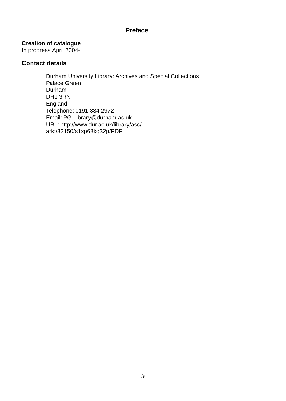### **Preface**

### <span id="page-3-0"></span>**Creation of catalogue**

In progress April 2004-

### **Contact details**

Durham University Library: Archives and Special Collections Palace Green Durham DH1 3RN England Telephone: 0191 334 2972 Email: PG.Library@durham.ac.uk URL: http://www.dur.ac.uk/library/asc/ ark:/32150/s1xp68kg32p/PDF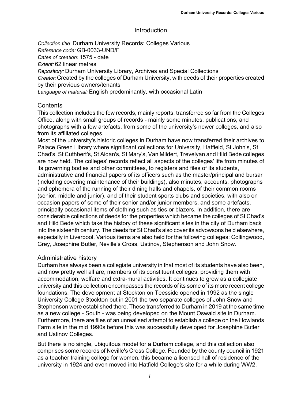### **Introduction**

<span id="page-4-0"></span>Collection title: Durham University Records: Colleges Various Reference code: GB-0033-UND/F Dates of creation: 1575 - date **Extent: 62 linear metres** Repository: Durham University Library, Archives and Special Collections Creator: Created by the colleges of Durham University, with deeds of their properties created by their previous owners/tenants Language of material: English predominantly, with occasional Latin

### **Contents**

This collection includes the few records, mainly reports, transferred so far from the Colleges Office, along with small groups of records - mainly some minutes, publications, and photographs with a few artefacts, from some of the university's newer colleges, and also from its affiliated colleges.

Most of the university's historic colleges in Durham have now transferred their archives to Palace Green Library where significant collections for University, Hatfield, St John's, St Chad's, St Cuthbert's, St Aidan's, St Mary's, Van Mildert, Trevelyan and Hild Bede colleges are now held. The colleges' records reflect all aspects of the colleges' life from minutes of its governing bodies and other committees, to registers and files of its students, administrative and financial papers of its officers such as the master/principal and bursar (including covering maintenance of their buildings), also minutes, accounts, photographs and ephemera of the running of their dining halls and chapels, of their common rooms (senior, middle and junior), and of their student sports clubs and societies, with also on occasion papers of some of their senior and/or junior members, and some artefacts, principally occasional items of clothing such as ties or blazers. In addition, there are considerable collections of deeds for the properties which became the colleges of St Chad's and Hild Bede which take the history of these significant sites in the city of Durham back into the sixteenth century. The deeds for St Chad's also cover its advowsons held elsewhere, especially in Liverpool. Various items are also held for the following colleges: Collingwood, Grey, Josephine Butler, Neville's Cross, Ustinov, Stephenson and John Snow.

### Administrative history

Durham has always been a collegiate university in that most of its students have also been, and now pretty well all are, members of its constituent colleges, providing them with accommodation, welfare and extra-mural activities. It continues to grow as a collegiate university and this collection encompasses the records of its some of its more recent college foundations. The development at Stockton on Teesside opened in 1992 as the single University College Stockton but in 2001 the two separate colleges of John Snow and Stephenson were established there. These transferred to Durham in 2019 at the same time as a new college - South - was being developed on the Mount Oswald site in Durham. Furthermore, there are files of an unrealised attempt to establish a college on the Howlands Farm site in the mid 1990s before this was successfully developed for Josephine Butler and Ustinov Colleges.

But there is no single, ubiquitous model for a Durham college, and this collection also comprises some records of Neville's Cross College. Founded by the county council in 1921 as a teacher training college for women, this became a licensed hall of residence of the university in 1924 and even moved into Hatfield College's site for a while during WW2.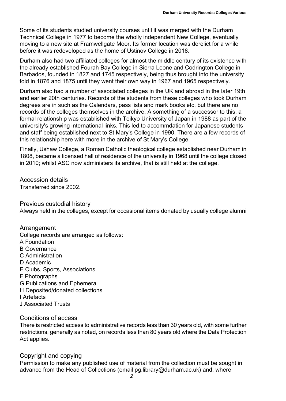Some of its students studied university courses until it was merged with the Durham Technical College in 1977 to become the wholly independent New College, eventually moving to a new site at Framwellgate Moor. Its former location was derelict for a while before it was redeveloped as the home of Ustinov College in 2018.

Durham also had two affiliated colleges for almost the middle century of its existence with the already established Fourah Bay College in Sierra Leone and Codrington College in Barbados, founded in 1827 and 1745 respectively, being thus brought into the university fold in 1876 and 1875 until they went their own way in 1967 and 1965 respectively.

Durham also had a number of associated colleges in the UK and abroad in the later 19th and earlier 20th centuries. Records of the students from these colleges who took Durham degrees are in such as the Calendars, pass lists and mark books etc, but there are no records of the colleges themselves in the archive. A something of a successor to this, a formal relationship was established with Teikyo University of Japan in 1988 as part of the university's growing international links. This led to accommdation for Japanese students and staff being established next to St Mary's College in 1990. There are a few records of this relationship here with more in the archive of St Mary's College.

Finally, Ushaw College, a Roman Catholic theological college established near Durham in 1808, became a licensed hall of residence of the university in 1968 until the college closed in 2010; whilst ASC now administers its archive, that is still held at the college.

Accession details Transferred since 2002.

Previous custodial history

Always held in the colleges, except for occasional items donated by usually college alumni

Arrangement College records are arranged as follows: A Foundation B Governance C Administration D Academic E Clubs, Sports, Associations F Photographs G Publications and Ephemera H Deposited/donated collections I Artefacts J Associated Trusts

### Conditions of access

There is restricted access to administrative records less than 30 years old, with some further restrictions, generally as noted, on records less than 80 years old where the Data Protection Act applies.

### Copyright and copying

Permission to make any published use of material from the collection must be sought in advance from the Head of Collections (email pg.library@durham.ac.uk) and, where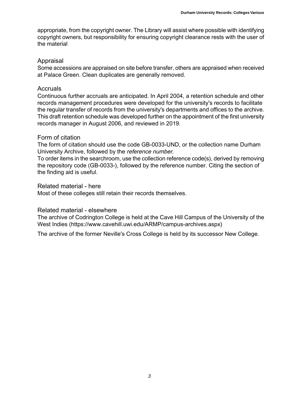appropriate, from the copyright owner. The Library will assist where possible with identifying copyright owners, but responsibility for ensuring copyright clearance rests with the user of the material

### Appraisal

Some accessions are appraised on site before transfer, others are appraised when received at Palace Green. Clean duplicates are generally removed.

### **Accruals**

Continuous further accruals are anticipated. In April 2004, a retention schedule and other records management procedures were developed for the university's records to facilitate the regular transfer of records from the university's departments and offices to the archive. This draft retention schedule was developed further on the appointment of the first university records manager in August 2006, and reviewed in 2019.

### Form of citation

The form of citation should use the code GB-0033-UND, or the collection name Durham University Archive, followed by the reference number.

To order items in the searchroom, use the collection reference code(s), derived by removing the repository code (GB-0033-), followed by the reference number. Citing the section of the finding aid is useful.

### Related material - here

Most of these colleges still retain their records themselves.

### Related material - elsewhere

<span id="page-6-0"></span>The archive of Codrington College is held at the Cave Hill Campus of the University of the West Indies (https://www.cavehill.uwi.edu/ARMP/campus-archives.aspx)

The archive of the former Neville's Cross College is held by its successor New College.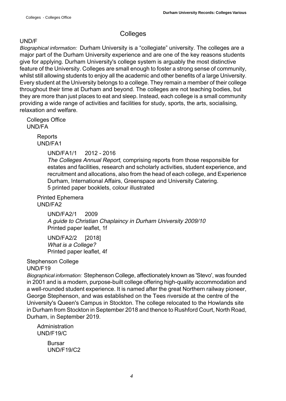## **Colleges**

### UND/F

Biographical information: Durham University is a "collegiate" university. The colleges are a major part of the Durham University experience and are one of the key reasons students give for applying. Durham University's college system is arguably the most distinctive feature of the University. Colleges are small enough to foster a strong sense of community, whilst still allowing students to enjoy all the academic and other benefits of a large University. Every student at the University belongs to a college. They remain a member of their college throughout their time at Durham and beyond. The colleges are not teaching bodies, but they are more than just places to eat and sleep. Instead, each college is a small community providing a wide range of activities and facilities for study, sports, the arts, socialising, relaxation and welfare.

<span id="page-7-1"></span><span id="page-7-0"></span>Colleges Office UND/FA

> **Reports** UND/FA1

> > UND/FA1/1 2012 - 2016

The Colleges Annual Report, comprising reports from those responsible for estates and facilities, research and scholarly activities, student experience, and recruitment and allocations, also from the head of each college, and Experience Durham, International Affairs, Greenspace and University Catering. 5 printed paper booklets, colour illustrated

<span id="page-7-2"></span>Printed Ephemera UND/FA2

> UND/FA2/1 2009 A guide to Christian Chaplaincy in Durham University 2009/10 Printed paper leaflet, 1f

<span id="page-7-3"></span>UND/FA2/2 [2018] What is <sup>a</sup> College? Printed paper leaflet, 4f

Stephenson College UND/F19

<span id="page-7-4"></span>Biographical information: Stephenson College, affectionately known as 'Stevo', was founded in 2001 and is a modern, purpose-built college offering high-quality accommodation and a well-rounded student experience. It is named after the great Northern railway pioneer, George Stephenson, and was established on the Tees riverside at the centre of the University's Queen's Campus in Stockton. The college relocated to the Howlands site in Durham from Stockton in September 2018 and thence to Rushford Court, North Road, Durham, in September 2019.

<span id="page-7-5"></span>Administration UND/F19/C

> Bursar UND/F19/C2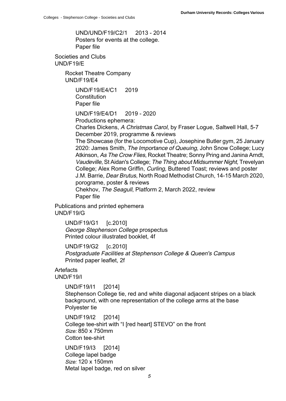UND/UND/F19/C2/1 2013 - 2014 Posters for events at the college. Paper file

<span id="page-8-0"></span>Societies and Clubs UND/F19/E

> <span id="page-8-1"></span>Rocket Theatre Company UND/F19/E4

> > UND/F19/E4/C1 2019 **Constitution** Paper file

UND/F19/E4/D1 2019 - 2020

Productions ephemera:

Charles Dickens, A Christmas Carol, by Fraser Logue, Saltwell Hall, 5-7 December 2019, programme & reviews

The Showcase (for the Locomotive Cup), Josephine Butler gym, 25 January 2020: James Smith, The Importance of Queuing, John Snow College; Lucy Atkinson, As The Crow Flies, Rocket Theatre; Sonny Pring and Janina Arndt, Vaudeville, St Aidan's College; The Thing about Midsummer Night, Trevelyan College; Alex Rome Griffin, Curling, Buttered Toast; reviews and poster J.M. Barrie, Dear Brutus, North Road Methodist Church, 14-15 March 2020, porograme, poster & reviews Chekhov, The Seagull, Platform 2, March 2022, review

Paper file

<span id="page-8-2"></span>Publications and printed ephemera UND/F19/G

> UND/F19/G1 [c.2010] George Stephenson College prospectus Printed colour illustrated booklet, 4f

<span id="page-8-3"></span>UND/F19/G2 [c.2010] Postgraduate Facilities at Stephenson College & Queen's Campus Printed paper leaflet, 2f

#### Artefacts

UND/F19/I

```
UND/F19/I1 [2014]
Stephenson College tie, red and white diagonal adjacent stripes on a black
background, with one representation of the college arms at the base
Polyester tie
```

```
UND/F19/I2 [2014]
College tee-shirt with "I [red heart] STEVO" on the front
Size: 850 x 750mm
Cotton tee-shirt
```

```
UND/F19/I3 [2014]
College lapel badge
Size: 120 x 150mm
Metal lapel badge, red on silver
```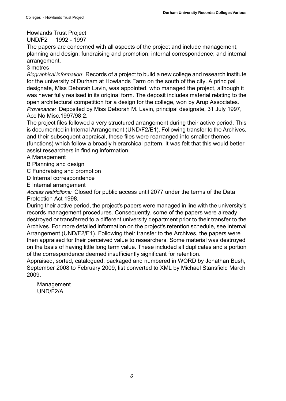### <span id="page-9-0"></span>Howlands Trust Project

UND/F2 1992 - 1997

The papers are concerned with all aspects of the project and include management; planning and design; fundraising and promotion; internal correspondence; and internal arrangement.

### 3 metres

Biographical information: Records of a project to build a new college and research institute for the university of Durham at Howlands Farm on the south of the city. A principal designate, Miss Deborah Lavin, was appointed, who managed the project, although it was never fully realised in its original form. The deposit includes material relating to the open architectural competition for a design for the college, won by Arup Associates. Provenance: Deposited by Miss Deborah M. Lavin, principal designate, 31 July 1997, Acc No Misc.1997/98:2.

The project files followed a very structured arrangement during their active period. This is documented in Internal Arrangement (UND/F2/E1). Following transfer to the Archives, and their subsequent appraisal, these files were rearranged into smaller themes (functions) which follow a broadly hierarchical pattern. It was felt that this would better assist researchers in finding information.

### A Management

B Planning and design

C Fundraising and promotion

D Internal correspondence

E Internal arrangement

Access restrictions: Closed for public access until 2077 under the terms of the Data Protection Act 1998.

During their active period, the project's papers were managed in line with the university's records management procedures. Consequently, some of the papers were already destroyed or transferred to a different university department prior to their transfer to the Archives. For more detailed information on the project's retention schedule, see Internal Arrangement (UND/F2/E1). Following their transfer to the Archives, the papers were then appraised for their perceived value to researchers. Some material was destroyed on the basis of having little long term value. These included all duplicates and a portion of the correspondence deemed insufficiently significant for retention.

<span id="page-9-1"></span>Appraised, sorted, catalogued, packaged and numbered in WORD by Jonathan Bush, September 2008 to February 2009; list converted to XML by Michael Stansfield March 2009.

Management UND/F2/A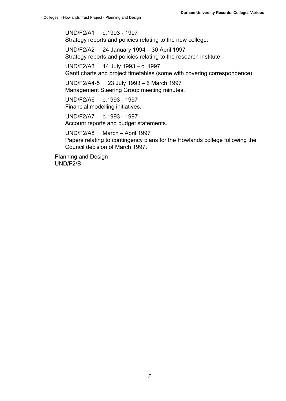UND/F2/A1 c.1993 - 1997 Strategy reports and policies relating to the new college.

UND/F2/A2 24 January 1994 – 30 April 1997 Strategy reports and policies relating to the research institute.

UND/F2/A3 14 July 1993 – c. 1997 Gantt charts and project timetables (some with covering correspondence).

UND/F2/A4-5 23 July 1993 – 6 March 1997 Management Steering Group meeting minutes.

UND/F2/A6 c.1993 - 1997 Financial modelling initiatives.

UND/F2/A7 c.1993 - 1997 Account reports and budget statements.

UND/F2/A8 March – April 1997

<span id="page-10-0"></span>Papers relating to contingency plans for the Howlands college following the Council decision of March 1997.

Planning and Design UND/F2/B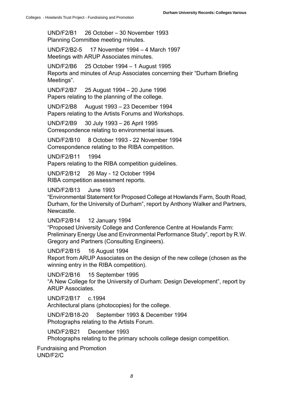UND/F2/B1 26 October – 30 November 1993 Planning Committee meeting minutes.

UND/F2/B2-5 17 November 1994 – 4 March 1997 Meetings with ARUP Associates minutes.

UND/F2/B6 25 October 1994 – 1 August 1995 Reports and minutes of Arup Associates concerning their "Durham Briefing Meetings".

UND/F2/B7 25 August 1994 – 20 June 1996 Papers relating to the planning of the college.

UND/F2/B8 August 1993 – 23 December 1994 Papers relating to the Artists Forums and Workshops.

UND/F2/B9 30 July 1993 – 26 April 1995 Correspondence relating to environmental issues.

UND/F2/B10 8 October 1993 - 22 November 1994 Correspondence relating to the RIBA competition.

UND/F2/B11 1994

Papers relating to the RIBA competition guidelines.

UND/F2/B12 26 May - 12 October 1994 RIBA competition assessment reports.

UND/F2/B13 June 1993

"Environmental Statement for Proposed College at Howlands Farm, South Road, Durham, for the University of Durham", report by Anthony Walker and Partners, Newcastle.

UND/F2/B14 12 January 1994

"Proposed University College and Conference Centre at Howlands Farm: Preliminary Energy Use and Environmental Performance Study", report by R.W. Gregory and Partners (Consulting Engineers).

UND/F2/B15 16 August 1994

Report from ARUP Associates on the design of the new college (chosen as the winning entry in the RIBA competition).

UND/F2/B16 15 September 1995

"A New College for the University of Durham: Design Development", report by ARUP Associates.

UND/F2/B17 c.1994

Architectural plans (photocopies) for the college.

<span id="page-11-0"></span>UND/F2/B18-20 September 1993 & December 1994 Photographs relating to the Artists Forum.

UND/F2/B21 December 1993

Photographs relating to the primary schools college design competition.

Fundraising and Promotion UND/F2/C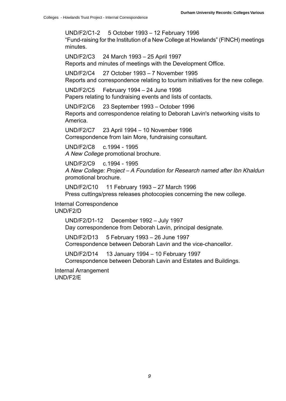UND/F2/C1-2 5 October 1993 – 12 February 1996

"Fund-raising for the Institution of a New College at Howlands" (FINCH) meetings minutes.

UND/F2/C3 24 March 1993 – 25 April 1997 Reports and minutes of meetings with the Development Office.

UND/F2/C4 27 October 1993 – 7 November 1995 Reports and correspondence relating to tourism initiatives for the new college.

UND/F2/C5 February 1994 – 24 June 1996 Papers relating to fundraising events and lists of contacts.

UND/F2/C6 23 September 1993 – October 1996 Reports and correspondence relating to Deborah Lavin's networking visits to America.

UND/F2/C7 23 April 1994 – 10 November 1996 Correspondence from Iain More, fundraising consultant.

UND/F2/C8 c.1994 - 1995 A New College promotional brochure.

UND/F2/C9 c.1994 - 1995 A New College: Project – A Foundation for Research named after Ibn Khaldun promotional brochure.

<span id="page-12-0"></span>UND/F2/C10 11 February 1993 – 27 March 1996 Press cuttings/press releases photocopies concerning the new college.

Internal Correspondence UND/F2/D

> UND/F2/D1-12 December 1992 – July 1997 Day correspondence from Deborah Lavin, principal designate.

<span id="page-12-1"></span>UND/F2/D13 5 February 1993 – 26 June 1997 Correspondence between Deborah Lavin and the vice-chancellor.

UND/F2/D14 13 January 1994 – 10 February 1997 Correspondence between Deborah Lavin and Estates and Buildings.

Internal Arrangement UND/F2/E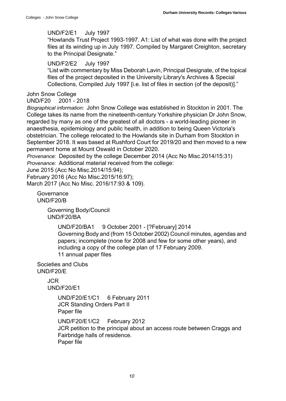### UND/F2/E1 July 1997

"Howlands Trust Project 1993-1997. A1: List of what was done with the project files at its winding up in July 1997. Compiled by Margaret Creighton, secretary to the Principal Designate."

### UND/F2/E2 July 1997

"List with commentary by Miss Deborah Lavin, Principal Designate, of the topical files of the project deposited in the University Library's Archives & Special Collections, Compiled July 1997 [i.e. list of files in section (of the deposit)]."

<span id="page-13-0"></span>John Snow College

UND/F20 2001 - 2018

Biographical information: John Snow College was established in Stockton in 2001. The College takes its name from the nineteenth-century Yorkshire physician Dr John Snow, regarded by many as one of the greatest of all doctors - a world-leading pioneer in anaesthesia, epidemiology and public health, in addition to being Queen Victoria's obstetrician. The college relocated to the Howlands site in Durham from Stockton in September 2018. It was based at Rushford Court for 2019/20 and then moved to a new permanent home at Mount Oswald in October 2020.

Provenance: Deposited by the college December 2014 (Acc No Misc.2014/15:31) Provenance: Additional material received from the college:

June 2015 (Acc No Misc.2014/15:94);

<span id="page-13-1"></span>February 2016 (Acc No Misc.2015/16:97);

March 2017 (Acc No Misc. 2016/17:93 & 109).

<span id="page-13-2"></span>Governance UND/F20/B

> Governing Body/Council UND/F20/BA

> > <span id="page-13-3"></span>UND/F20/BA1 9 October 2001 - [?February] 2014 Governing Body and (from 15 October 2002) Council minutes, agendas and papers; incomplete (none for 2008 and few for some other years), and including a copy of the college plan of 17 February 2009. 11 annual paper files

<span id="page-13-4"></span>Societies and Clubs UND/F20/E

> JCR UND/F20/E1

> > UND/F20/E1/C1 6 February 2011 JCR Standing Orders Part II Paper file

UND/F20/E1/C2 February 2012 JCR petition to the principal about an access route between Craggs and Fairbridge halls of residence. Paper file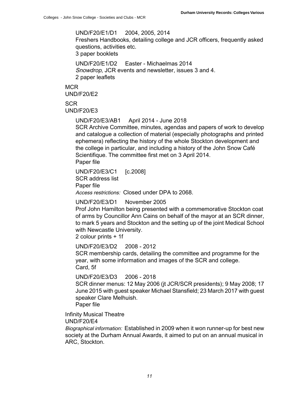### UND/F20/E1/D1 2004, 2005, 2014

Freshers Handbooks, detailing college and JCR officers, frequently asked questions, activities etc.

3 paper booklets

UND/F20/E1/D2 Easter - Michaelmas 2014 Snowdrop, JCR events and newsletter, issues 3 and 4. 2 paper leaflets

<span id="page-14-1"></span><span id="page-14-0"></span>**MCR** UND/F20/E2

**SCR** UND/F20/E3

UND/F20/E3/AB1 April 2014 - June 2018

SCR Archive Committee, minutes, agendas and papers of work to develop and catalogue a collection of material (especially photographs and printed ephemera) reflecting the history of the whole Stockton development and the college in particular, and including a history of the John Snow Café Scientifique. The committee first met on 3 April 2014. Paper file

UND/F20/E3/C1 [c.2008] SCR address list Paper file

Access restrictions: Closed under DPA to 2068.

UND/F20/E3/D1 November 2005

Prof John Hamilton being presented with a commemorative Stockton coat of arms by Councillor Ann Cains on behalf of the mayor at an SCR dinner, to mark 5 years and Stockton and the setting up of the joint Medical School with Newcastle University.

2 colour prints + 1f

### UND/F20/E3/D2 2008 - 2012

SCR membership cards, detailing the committee and programme for the year, with some information and images of the SCR and college. Card, 5f

#### UND/F20/E3/D3 2006 - 2018

<span id="page-14-2"></span>SCR dinner menus: 12 May 2006 (jt JCR/SCR presidents); 9 May 2008; 17 June 2015 with guest speaker Michael Stansfield; 23 March 2017 with guest speaker Clare Melhuish.

Paper file

Infinity Musical Theatre

### UND/F20/E4

Biographical information: Established in 2009 when it won runner-up for best new society at the Durham Annual Awards, it aimed to put on an annual musical in ARC, Stockton.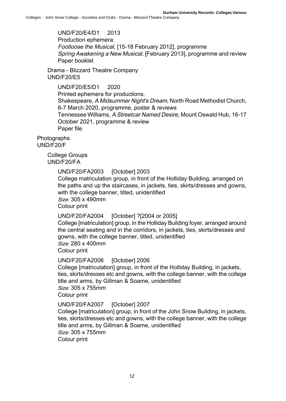UND/F20/E4/D1 2013 Production ephemera: Footloose the Musical, [15-18 February 2012], programme Spring Awakening <sup>a</sup> New Musical, [February 2013], programme and review Paper booklet

<span id="page-15-0"></span>Drama - Blizzard Theatre Company UND/F20/E5

> UND/F20/E5/D1 2020 Printed ephemera for productions. Shakespeare, A Midsummer Night's Dream, North Road Methodist Church, 6-7 March 2020, programme, poster & reviews Tennessee Williams, A Streetcar Named Desire, Mount Oswald Hub, 16-17 October 2021, programme & review Paper file

<span id="page-15-2"></span><span id="page-15-1"></span>Photographs UND/F20/F

> College Groups UND/F20/FA

> > UND/F20/FA2003 [October] 2003 College matriculation group, in front of the Holliday Building, arranged on the paths and up the staircases, in jackets, ties, skirts/dresses and gowns, with the college banner, titled, unidentified Size: 305 x 490mm Colour print

> > UND/F20/FA2004 [October] ?[2004 or 2005] College [matriculation] group, in the Holliday Building foyer, arranged around

> > the central seating and in the corridors, in jackets, ties, skirts/dresses and gowns, with the college banner, titled, unidentified Size: 280 x 400mm Colour print

UND/F20/FA2006 [October] 2006

College [matriculation] group, in front of the Holliday Building, in jackets, ties, skirts/dresses etc and gowns, with the college banner, with the college title and arms, by Gillman & Soame, unidentified Size: 305 x 755mm Colour print

UND/F20/FA2007 [October] 2007

College [matriculation] group, in front of the John Snow Building, in jackets, ties, skirts/dresses etc and gowns, with the college banner, with the college title and arms, by Gillman & Soame, unidentified Size: 305 x 755mm Colour print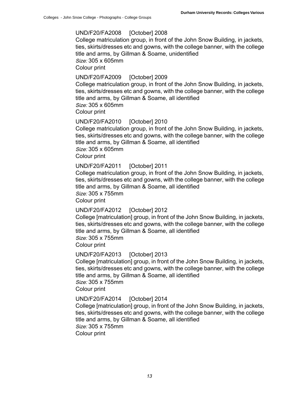### UND/F20/FA2008 [October] 2008

College matriculation group, in front of the John Snow Building, in jackets, ties, skirts/dresses etc and gowns, with the college banner, with the college title and arms, by Gillman & Soame, unidentified Size: 305 x 605mm

Colour print

### UND/F20/FA2009 [October] 2009

College matriculation group, in front of the John Snow Building, in jackets, ties, skirts/dresses etc and gowns, with the college banner, with the college title and arms, by Gillman & Soame, all identified Size: 305 x 605mm

Colour print

### UND/F20/FA2010 [October] 2010

College matriculation group, in front of the John Snow Building, in jackets, ties, skirts/dresses etc and gowns, with the college banner, with the college title and arms, by Gillman & Soame, all identified

Size: 305 x 605mm

Colour print

### UND/F20/FA2011 [October] 2011

College matriculation group, in front of the John Snow Building, in jackets, ties, skirts/dresses etc and gowns, with the college banner, with the college title and arms, by Gillman & Soame, all identified

Size: 305 x 755mm

Colour print

### UND/F20/FA2012 [October] 2012

College [matriculation] group, in front of the John Snow Building, in jackets, ties, skirts/dresses etc and gowns, with the college banner, with the college title and arms, by Gillman & Soame, all identified Size: 305 x 755mm

Colour print

### UND/F20/FA2013 [October] 2013

College [matriculation] group, in front of the John Snow Building, in jackets, ties, skirts/dresses etc and gowns, with the college banner, with the college title and arms, by Gillman & Soame, all identified Size: 305 x 755mm Colour print

#### UND/F20/FA2014 [October] 2014

College [matriculation] group, in front of the John Snow Building, in jackets, ties, skirts/dresses etc and gowns, with the college banner, with the college title and arms, by Gillman & Soame, all identified Size: 305 x 755mm Colour print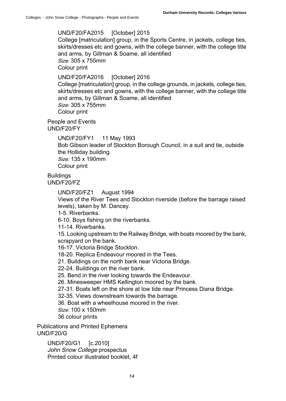### UND/F20/FA2015 [October] 2015

College [matriculation] group, in the Sports Centre, in jackets, college ties, skirts/dresses etc and gowns, with the college banner, with the college title and arms, by Gillman & Soame, all identified Size: 305 x 755mm Colour print

### UND/F20/FA2016 [October] 2016

College [matriculation] group, in the college grounds, in jackets, college ties, skirts/dresses etc and gowns, with the college banner, with the college title and arms, by Gillman & Soame, all identified Size: 305 x 755mm Colour print

<span id="page-17-0"></span>People and Events UND/F20/FY

> UND/F20/FY1 11 May 1993 Bob Gibson leader of Stockton Borough Council, in a suit and tie, outside the Holliday building. Size: 135 x 190mm Colour print

### <span id="page-17-1"></span>Buildings

UND/F20/FZ

UND/F20/FZ1 August 1994

Views of the River Tees and Stockton riverside (before the barrage raised levels), taken by M. Dancey.

1-5. Riverbanks.

6-10. Boys fishing on the riverbanks.

11-14. Riverbanks.

15. Looking upstream to the Railway Bridge, with boats moored by the bank, scrapyard on the bank.

16-17. Victoria Bridge Stockton.

18-20. Replica Endeavour moored in the Tees.

21. Buildings on the north bank near Victoria Bridge.

22-24. Buildings on the river bank.

25. Bend in the river looking towards the Endeavour.

26. Minesweeper HMS Kellington moored by the bank.

<span id="page-17-2"></span>27-31. Boats left on the shore at low tide near Princess Diana Bridge.

32-35. Views downstream towards the barrage.

36. Boat with a wheelhouse moored in the river.

Size: 100 x 150mm

36 colour prints

Publications and Printed Ephemera UND/F20/G

> UND/F20/G1 [c.2010] John Snow College prospectus Printed colour illustrated booklet, 4f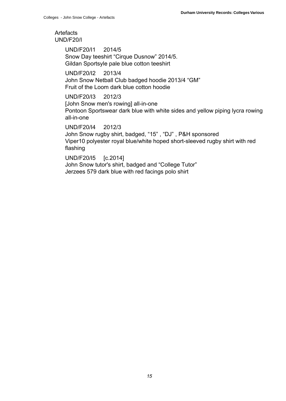### <span id="page-18-0"></span>**Artefacts** UND/F20/I

UND/F20/I1 2014/5 Snow Day teeshirt "Cirque Dusnow" 2014/5. Gildan Sportsyle pale blue cotton teeshirt

UND/F20/I2 2013/4 John Snow Netball Club badged hoodie 2013/4 "GM" Fruit of the Loom dark blue cotton hoodie

UND/F20/I3 2012/3 [John Snow men's rowing] all-in-one Pontoon Sportswear dark blue with white sides and yellow piping lycra rowing all-in-one

UND/F20/I4 2012/3 John Snow rugby shirt, badged, "15" , "DJ" , P&H sponsored Viper10 polyester royal blue/white hoped short-sleeved rugby shirt with red flashing

UND/F20/I5 [c.2014] John Snow tutor's shirt, badged and "College Tutor" Jerzees 579 dark blue with red facings polo shirt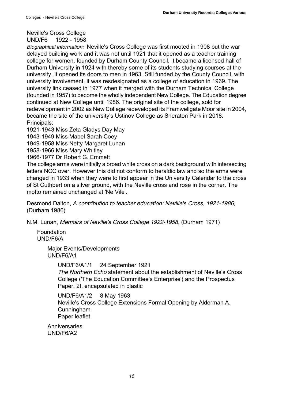### <span id="page-19-0"></span>Neville's Cross College

UND/F6 1922 - 1958

Biographical information: Neville's Cross College was first mooted in 1908 but the war delayed building work and it was not until 1921 that it opened as a teacher training college for women, founded by Durham County Council. It became a licensed hall of Durham University in 1924 with thereby some of its students studying courses at the university. It opened its doors to men in 1963. Still funded by the County Council, with university involvement, it was resdesignated as a college of education in 1969. The university link ceased in 1977 when it merged with the Durham Technical College (founded in 1957) to become the wholly independent New College. The Education degree continued at New College until 1986. The original site of the college, sold for redevelopment in 2002 as New College redeveloped its Framwellgate Moor site in 2004, became the site of the university's Ustinov College as Sheraton Park in 2018. Principals:

1921-1943 Miss Zeta Gladys Day May

1943-1949 Miss Mabel Sarah Coey

1949-1958 Miss Netty Margaret Lunan

1958-1966 Miss Mary Whitley

1966-1977 Dr Robert G. Emmett

The college arms were initially a broad white cross on a dark background with intersecting letters NCC over. However this did not conform to heraldic law and so the arms were changed in 1933 when they were to first appear in the University Calendar to the cross of St Cuthbert on a silver ground, with the Neville cross and rose in the corner. The motto remained unchanged at 'Ne Vile'.

<span id="page-19-1"></span>Desmond Dalton, A contribution to teacher education: Neville's Cross, 1921-1986, (Durham 1986)

N.M. Lunan, Memoirs of Neville's Cross College 1922-1958, (Durham 1971)

<span id="page-19-2"></span>Foundation UND/F6/A

> Major Events/Developments UND/F6/A1

> > UND/F6/A1/1 24 September 1921 The Northern Echo statement about the establishment of Neville's Cross College ('The Education Committee's Enterprise') and the Prospectus Paper, 2f, encapsulated in plastic

<span id="page-19-3"></span>UND/F6/A1/2 8 May 1963 Neville's Cross College Extensions Formal Opening by Alderman A. Cunningham Paper leaflet

**Anniversaries** UND/F6/A2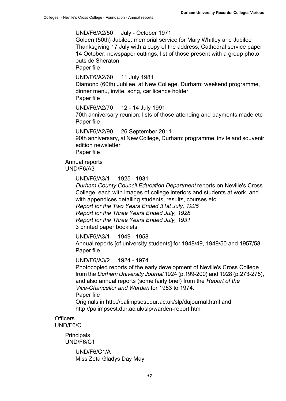### UND/F6/A2/50 July - October 1971

Golden (50th) Jubilee: memorial service for Mary Whitley and Jubilee Thanksgiving 17 July with a copy of the address, Cathedral service paper 14 October, newspaper cuttings, list of those present with a group photo outside Sheraton

Paper file

UND/F6/A2/60 11 July 1981 Diamond (60th) Jubilee, at New College, Durham: weekend programme, dinner menu, invite, song, car licence holder

Paper file

UND/F6/A2/70 12 - 14 July 1991

70th anniversary reunion: lists of those attending and payments made etc Paper file

UND/F6/A2/90 26 September 2011

90th anniversary, at New College, Durham: programme, invite and souvenir edition newsletter

Paper file

<span id="page-20-0"></span>Annual reports UND/F6/A3

#### UND/F6/A3/1 1925 - 1931

Durham County Council Education Department reports on Neville's Cross College, each with images of college interiors and students at work, and with appendices detailing students, results, courses etc: Report for the Two Years Ended 31st July, 1925 Report for the Three Years Ended July, 1928 Report for the Three Years Ended July, 1931

3 printed paper booklets

UND/F6/A3/1 1949 - 1958

Annual reports [of university students] for 1948/49, 1949/50 and 1957/58. Paper file

UND/F6/A3/2 1924 - 1974

Photocopied reports of the early development of Neville's Cross College from the Durham University Journal 1924 (p.199-200) and 1928 (p.273-275), and also annual reports (some fairly brief) from the Report of the Vice-Chancellor and Warden for 1953 to 1974.

<span id="page-20-1"></span>Paper file

<span id="page-20-2"></span>Originals in http://palimpsest.dur.ac.uk/slp/dujournal.html and http://palimpsest.dur.ac.uk/slp/warden-report.html

### **Officers**

UND/F6/C

**Principals** UND/F6/C1

> UND/F6/C1/A Miss Zeta Gladys Day May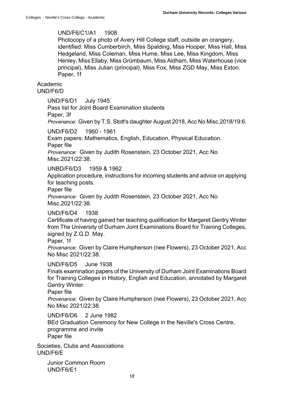### UND/F6/C1/A1 1908

Photocopy of a photo of Avery Hill College staff, outside an orangery, identified: Miss Cumberbirch, Miss Spalding, Miss Hooper, Miss Hall, Miss Hedgeland, Miss Coleman, Miss Hume, Miss Lee, Miss Kingdom, Miss Henley, Miss Ellaby, Miss Grümbaum, Miss Aldham, Miss Waterhouse (vice principal), Miss Julian (principal), Miss Fox, Miss ZGD May, Miss Exton. Paper, 1f

<span id="page-21-0"></span>Academic UND/F6/D

UND/F6/D1 July 1945

Pass list for Joint Board Examination students Paper, 3f

Provenance: Given by T.S. Stott's daughter August 2018, Acc No Misc.2018/19:6.

UND/F6/D2 1960 - 1961

Exam papers: Mathematics, English, Education, Physical Education. Paper file

Provenance: Given by Judith Rosenstein, 23 October 2021, Acc No Misc.2021/22:38.

UNBD/F6/D3 1959 & 1962

Application procedure, instructions for incoming students and advice on applying for teaching posts.

Paper file

Provenance: Given by Judith Rosenstein, 23 October 2021, Acc No Misc.2021/22:38.

UND/F6/D4 1938

Certificate of having gained her teaching qualification for Margaret Gentry Winter from The University of Durham Joint Examinations Board for Training Colleges, signed by Z.G.D. May.

Paper, 1f

Provenance: Given by Claire Humpherson (nee Flowers), 23 October 2021, Acc No Misc 2021/22:38.

### UND/F6/D5 June 1938

Finals examination papers of the University of Durham Joint Examinations Board for Training Colleges in History, English and Education, annotated by Margaret Gentry Winter.

Paper file

Provenance: Given by Claire Humpherson (nee Flowers), 23 October 2021, Acc No Misc 2021/22:38.

<span id="page-21-1"></span>UND/F6/D6 2 June 1982

<span id="page-21-2"></span>BEd Graduation Ceremony for New College in the Neville's Cross Centre, programme and invite

Paper file

Societies, Clubs and Associations UND/F6/E

> Junior Common Room UND/F6/E1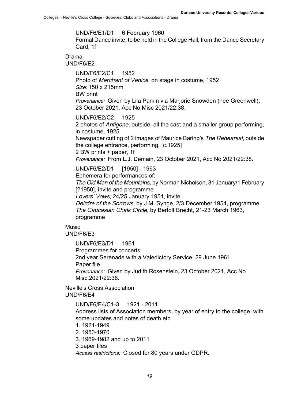### UND/F6/E1/D1 6 February 1960

Formal Dance invite, to be held in the College Hall, from the Dance Secretary Card, 1f

# <span id="page-22-0"></span>Drama

UND/F6/E2

UND/F6/E2/C1 1952 Photo of Merchant of Venice, on stage in costume, 1952 Size: 150 x 215mm BW print Provenance: Given by Lila Parkin via Marjorie Snowden (nee Greenwell), 23 October 2021, Acc No Misc 2021/22:38.

UND/F6/E2/C2 1925

2 photos of Antigone, outside, all the cast and a smaller group performing, in costume, 1925

Newspaper cutting of 2 images of Maurice Baring's The Rehearsal, outside the college entrance, performing, [c.1925]

2 BW prints + paper, 1f

Provenance: From L.J. Demain, 23 October 2021, Acc No 2021/22:38.

UND/F6/E2/D1 [1950] - 1963

Ephemera for performances of:

The Old Man of the Mountains, by Norman Nicholson, 31 January/1 February [?1950], invite and programme

Lovers' Vows, 24/25 January 1951, invite

<span id="page-22-1"></span>Deirdre of the Sorrows, by J.M. Synge, 2/3 December 1954, programme The Caucasian Chalk Circle, by Bertolt Brecht, 21-23 March 1963, programme

### Music

UND/F6/E3

UND/F6/E3/D1 1961

Programmes for concerts:

<span id="page-22-2"></span>2nd year Serenade with a Valedictory Service, 29 June 1961 Paper file

Provenance: Given by Judith Rosenstein, 23 October 2021, Acc No Misc.2021/22:38.

Neville's Cross Association UND/F6/E4

UND/F6/E4/C1-3 1921 - 2011

Address lists of Association members, by year of entry to the college, with some updates and notes of death etc

- 1. 1921-1949
- 2. 1950-1970
- 3. 1969-1982 and up to 2011
- 3 paper files

Access restrictions: Closed for 80 years under GDPR.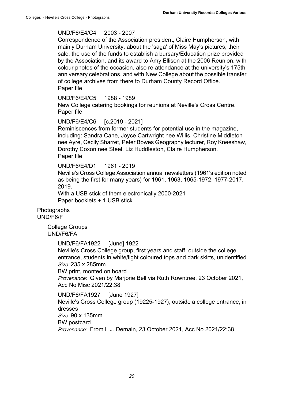### UND/F6/E4/C4 2003 - 2007

Correspondence of the Association president, Claire Humpherson, with mainly Durham University, about the 'saga' of Miss May's pictures, their sale, the use of the funds to establish a bursary/Education prize provided by the Association, and its award to Amy Ellison at the 2006 Reunion, with colour photos of the occasion, also re attendance at the university's 175th anniversary celebrations, and with New College about the possible transfer of college archives from there to Durham County Record Office. Paper file

UND/F6/E4/C5 1988 - 1989

New College catering bookings for reunions at Neville's Cross Centre. Paper file

UND/F6/E4/C6 [c.2019 - 2021]

Reminiscences from former students for potential use in the magazine, including: Sandra Cane, Joyce Cartwright nee Willis, Christine Middleton nee Ayre, Cecily Sharret, Peter Bowes Geography lecturer, Roy Kneeshaw, Dorothy Coxon nee Steel, Liz Huddleston, Claire Humpherson. Paper file

UND/F6/E4/D1 1961 - 2019

Neville's Cross College Association annual newsletters (1961's edition noted as being the first for many years) for 1961, 1963, 1965-1972, 1977-2017, 2019.

With a USB stick of them electronically 2000-2021 Paper booklets + 1 USB stick

<span id="page-23-1"></span><span id="page-23-0"></span>Photographs UND/F6/F

> College Groups UND/F6/FA

> > UND/F6/FA1922 [June] 1922

Neville's Cross College group, first years and staff, outside the college entrance, students in white/light coloured tops and dark skirts, unidentified Size: 235 x 285mm

BW print, monted on board

Provenance: Given by Marjorie Bell via Ruth Rowntree, 23 October 2021, Acc No Misc 2021/22:38.

UND/F6/FA1927 [June 1927]

Neville's Cross College group (19225-1927), outside a college entrance, in dresses Size: 90 x 135mm

BW postcard

Provenance: From L.J. Demain, 23 October 2021, Acc No 2021/22:38.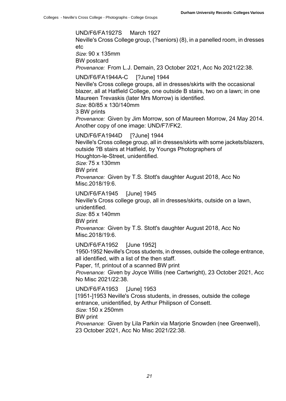#### UND/F6/FA1927S March 1927

Neville's Cross College group, (?seniors) (8), in a panelled room, in dresses etc

Size: 90 x 135mm

BW postcard

Provenance: From L.J. Demain, 23 October 2021, Acc No 2021/22:38.

#### UND/F6/FA1944A-C [?June] 1944

Neville's Cross college groups, all in dresses/skirts with the occasional blazer, all at Hatfield College, one outside B stairs, two on a lawn; in one Maureen Trevaskis (later Mrs Morrow) is identified.

Size: 80/85 x 130/140mm

3 BW prints

Provenance: Given by Jim Morrow, son of Maureen Morrow, 24 May 2014. Another copy of one image: UND/F7/FK2.

#### UND/F6/FA1944D [?June] 1944

Neville's Cross college group, all in dresses/skirts with some jackets/blazers, outside ?B stairs at Hatfield, by Youngs Photographers of

Houghton-le-Street, unidentified.

Size: 75 x 130mm

BW print

Provenance: Given by T.S. Stott's daughter August 2018, Acc No Misc.2018/19:6.

UND/F6/FA1945 [June] 1945

Neville's Cross college group, all in dresses/skirts, outside on a lawn, unidentified.

Size: 85 x 140mm

BW print

Provenance: Given by T.S. Stott's daughter August 2018, Acc No Misc.2018/19:6.

UND/F6/FA1952 [June 1952]

1950-1952 Neville's Cross students, in dresses, outside the college entrance, all identified, with a list of the then staff.

Paper, 1f, printout of a scanned BW print

Provenance: Given by Joyce Willis (nee Cartwright), 23 October 2021, Acc No Misc 2021/22:38.

UND/F6/FA1953 [June] 1953

[1951-]1953 Neville's Cross students, in dresses, outside the college entrance, unidentified, by Arthur Philipson of Consett. Size: 150 x 250mm

BW print

Provenance: Given by Lila Parkin via Marjorie Snowden (nee Greenwell), 23 October 2021, Acc No Misc 2021/22:38.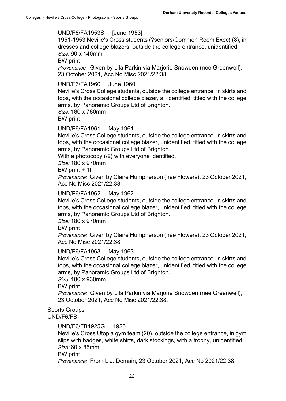### UND/F6/FA1953S [June 1953]

1951-1953 Neville's Cross students (?seniors/Common Room Exec) (8), in dresses and college blazers, outside the college entrance, unidentified Size: 90 x 140mm

BW print

Provenance: Given by Lila Parkin via Marjorie Snowden (nee Greenwell), 23 October 2021, Acc No Misc 2021/22:38.

#### UND/F6/FA1960 June 1960

Neville's Cross College students, outside the college entrance, in skirts and tops, with the occasional college blazer, all identified, titled with the college arms, by Panoramic Groups Ltd of Brighton.

Size: 180 x 780mm

BW print

### UND/F6/FA1961 May 1961

Neville's Cross College students, outside the college entrance, in skirts and tops, with the occasional college blazer, unidentified, titled with the college arms, by Panoramic Groups Ltd of Brighton.

With a photocopy (/2) with everyone identified.

Size: 180 x 970mm

BW print + 1f

Provenance: Given by Claire Humpherson (nee Flowers), 23 October 2021, Acc No Misc 2021/22:38.

### UND/F6/FA1962 May 1962

Neville's Cross College students, outside the college entrance, in skirts and tops, with the occasional college blazer, unidentified, titled with the college arms, by Panoramic Groups Ltd of Brighton.

Size: 180 x 970mm

BW print

Provenance: Given by Claire Humpherson (nee Flowers), 23 October 2021, Acc No Misc 2021/22:38.

#### UND/F6/FA1963 May 1963

Neville's Cross College students, outside the college entrance, in skirts and tops, with the occasional college blazer, unidentified, titled with the college arms, by Panoramic Groups Ltd of Brighton.

<span id="page-25-0"></span>Size: 180 x 930mm

BW print

Provenance: Given by Lila Parkin via Marjorie Snowden (nee Greenwell), 23 October 2021, Acc No Misc 2021/22:38.

### Sports Groups UND/F6/FB

### UND/F6/FB1925G 1925

Neville's Cross Utopia gym team (20), outside the college entrance, in gym slips with badges, white shirts, dark stockings, with a trophy, unidentified. Size: 60 x 85mm

### BW print

Provenance: From L.J. Demain, 23 October 2021, Acc No 2021/22:38.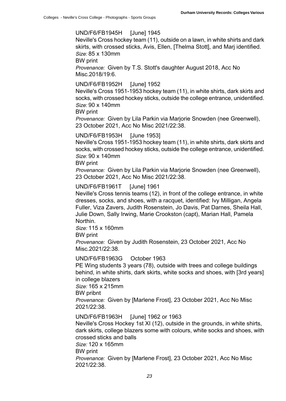### UND/F6/FB1945H [June] 1945

Neville's Cross hockey team (11), outside on a lawn, in white shirts and dark skirts, with crossed sticks, Avis, Ellen, [Thelma Stott], and Marj identified. Size: 85 x 130mm

BW print

Provenance: Given by T.S. Stott's daughter August 2018, Acc No Misc.2018/19:6.

### UND/F6/FB1952H [June] 1952

Neville's Cross 1951-1953 hockey team (11), in white shirts, dark skirts and socks, with crossed hockey sticks, outside the college entrance, unidentified. Size: 90 x 140mm

BW print

Provenance: Given by Lila Parkin via Marjorie Snowden (nee Greenwell), 23 October 2021, Acc No Misc 2021/22:38.

### UND/F6/FB1953H [June 1953]

Neville's Cross 1951-1953 hockey team (11), in white shirts, dark skirts and socks, with crossed hockey sticks, outside the college entrance, unidentified. Size: 90 x 140mm

BW print

Provenance: Given by Lila Parkin via Marjorie Snowden (nee Greenwell), 23 October 2021, Acc No Misc 2021/22:38.

### UND/F6/FB1961T [June] 1961

Neville's Cross tennis teams (12), in front of the college entrance, in white dresses, socks, and shoes, with a racquet, identified: Ivy Milligan, Angela Fuller, Viza Zavers, Judith Rosenstein, Jo Davis, Pat Darnes, Sheila Hall, Julie Down, Sally Irwing, Marie Crookston (capt), Marian Hall, Pamela Northin.

Size: 115 x 160mm

BW print

Provenance: Given by Judith Rosenstein, 23 October 2021, Acc No Misc.2021/22:38.

#### UND/F6/FB1963G October 1963

PE Wing students 3 years (78), outside with trees and college buildings behind, in white shirts, dark skirts, white socks and shoes, with [3rd years] in college blazers

Size: 165 x 215mm BW pribnt Provenance: Given by [Marlene Frost], 23 October 2021, Acc No Misc 2021/22:38.

### UND/F6/FB1963H [June] 1962 or 1963

Neville's Cross Hockey 1st XI (12), outside in the grounds, in white shirts, dark skirts, college blazers some with colours, white socks and shoes, with crossed sticks and balls

Size: 120 x 165mm

BW print

Provenance: Given by [Marlene Frost], 23 October 2021, Acc No Misc 2021/22:38.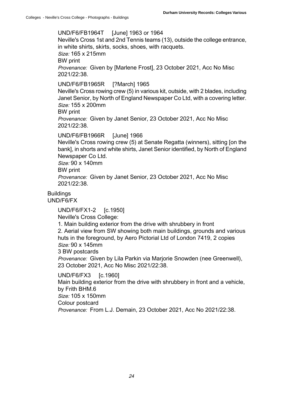UND/F6/FB1964T [June] 1963 or 1964 Neville's Cross 1st and 2nd Tennis teams (13), outside the college entrance, in white shirts, skirts, socks, shoes, with racquets. Size: 165 x 215mm BW print Provenance: Given by [Marlene Frost], 23 October 2021, Acc No Misc

2021/22:38.

UND/F6/FB1965R [?March] 1965

Neville's Cross rowing crew (5) in various kit, outside, with 2 blades, including Janet Senior, by North of England Newspaper Co Ltd, with a covering letter. Size: 155 x 200mm

BW print

Provenance: Given by Janet Senior, 23 October 2021, Acc No Misc 2021/22:38.

UND/F6/FB1966R [June] 1966

Neville's Cross rowing crew (5) at Senate Regatta (winners), sitting [on the bank], in shorts and white shirts, Janet Senior identified, by North of England Newspaper Co Ltd.

Size: 90 x 140mm

BW print

<span id="page-27-0"></span>Provenance: Given by Janet Senior, 23 October 2021, Acc No Misc 2021/22:38.

Buildings UND/F6/FX

UND/F6/FX1-2 [c.1950]

Neville's Cross College:

1. Main building exterior from the drive with shrubbery in front

2. Aerial view from SW showing both main buildings, grounds and various huts in the foreground, by Aero Pictorial Ltd of London 7419, 2 copies Size: 90 x 145mm

3 BW postcards

Provenance: Given by Lila Parkin via Marjorie Snowden (nee Greenwell), 23 October 2021, Acc No Misc 2021/22:38.

UND/F6/FX3 [c.1960] Main building exterior from the drive with shrubbery in front and a vehicle, by Frith BHM.6 Size: 105 x 150mm Colour postcard Provenance: From L.J. Demain, 23 October 2021, Acc No 2021/22:38.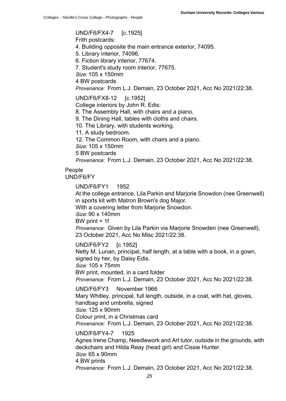### UND/F6/FX4-7 [c.1925]

Frith postcards:

4. Building opposite the main entrance exterior, 74095.

5. Library interior, 74096.

6. Fiction library interior, 77674.

7. Student's study room interior, 77675.

Size: 105 x 150mm

4 BW postcards

Provenance: From L.J. Demain, 23 October 2021, Acc No 2021/22:38.

UND/F6/FX8-12 [c.1952]

College interiors by John R. Edis:

8. The Assembly Hall, with chairs and a piano.

9. The Dining Hall, tables with cloths and chairs.

10. The Library, with students working.

11. A study bedroom.

12. The Common Room, with chairs and a piano.

Size: 105 x 150mm

<span id="page-28-0"></span>5 BW postcards

Provenance: From L.J. Demain, 23 October 2021, Acc No 2021/22:38.

### People

UND/F6/FY

UND/F6/FY1 1952

At the college entrance, Lila Parkin and Marjorie Snowdon (nee Greenwell) in sports kit with Matron Brown's dog Major.

With a covering letter from Marjorie Snowdon.

Size: 90 x 140mm

BW print + 1f

Provenance: Given by Lila Parkin via Marjorie Snowden (nee Greenwell), 23 October 2021, Acc No Misc 2021/22:38.

UND/F6/FY2 [c.1952]

Netty M. Lunan, principal, half length, at a table with a book, in a gown, signed by her, by Daisy Edis.

Size: 105 x 75mm

BW print, mounted, in a card folder

Provenance: From L.J. Demain, 23 October 2021, Acc No 2021/22:38.

UND/F6/FY3 November 1966

Mary Whitley, principal, full length, outside, in a coat, with hat, gloves, handbag and umbrella, signed

Size: 125 x 90mm

Colour print, in a Christmas card

Provenance: From L.J. Demain, 23 October 2021, Acc No 2021/22:38.

UND/F6/FY4-7 1925

Agnes Irene Champ, Needlework and Art tutor, outside in the grounds, with deckchairs and Hilda Reay (head girl) and Cissie Hunter. Size: 65 x 90mm

4 BW prints

Provenance: From L.J. Demain, 23 October 2021, Acc No 2021/22:38.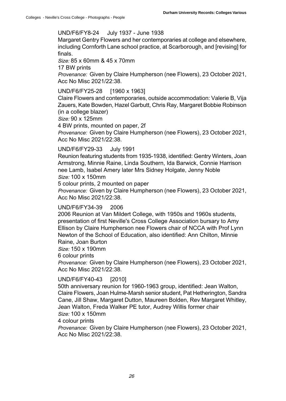#### UND/F6/FY8-24 July 1937 - June 1938

Margaret Gentry Flowers and her contemporaries at college and elsewhere, including Cornforth Lane school practice, at Scarborough, and [revising] for finals.

Size: 85 x 60mm & 45 x 70mm

17 BW prints

Provenance: Given by Claire Humpherson (nee Flowers), 23 October 2021, Acc No Misc 2021/22:38.

#### UND/F6/FY25-28 [1960 x 1963]

Claire Flowers and contemporaries, outside accommodation: Valerie B, Vija Zauers, Kate Bowden, Hazel Garbutt, Chris Ray, Margaret Bobbie Robinson (in a college blazer)

Size: 90 x 125mm

4 BW prints, mounted on paper, 2f Provenance: Given by Claire Humpherson (nee Flowers), 23 October 2021, Acc No Misc 2021/22:38.

### UND/F6/FY29-33 July 1991

Reunion featuring students from 1935-1938, identified: Gentry Winters, Joan Armstrong, Minnie Raine, Linda Southern, Ida Barwick, Connie Harrison nee Lamb, Isabel Amery later Mrs Sidney Holgate, Jenny Noble Size: 100 x 150mm

5 colour prints, 2 mounted on paper

Provenance: Given by Claire Humpherson (nee Flowers), 23 October 2021, Acc No Misc 2021/22:38.

### UND/F6/FY34-39 2006

2006 Reunion at Van Mildert College, with 1950s and 1960s students, presentation of first Neville's Cross College Association bursary to Amy Ellison by Claire Humpherson nee Flowers chair of NCCA with Prof Lynn Newton of the School of Education, also identified: Ann Chilton, Minnie Raine, Joan Burton

Size: 150 x 190mm

6 colour prints

Provenance: Given by Claire Humpherson (nee Flowers), 23 October 2021, Acc No Misc 2021/22:38.

### UND/F6/FY40-43 [2010]

50th anniversary reunion for 1960-1963 group, identified: Jean Walton, Claire Flowers, Joan Hulme-Marsh senior student, Pat Hetherington, Sandra Cane, Jill Shaw, Margaret Dutton, Maureen Bolden, Rev Margaret Whitley, Jean Walton, Freda Walker PE tutor, Audrey Willis former chair Size: 100 x 150mm

4 colour prints

Provenance: Given by Claire Humpherson (nee Flowers), 23 October 2021, Acc No Misc 2021/22:38.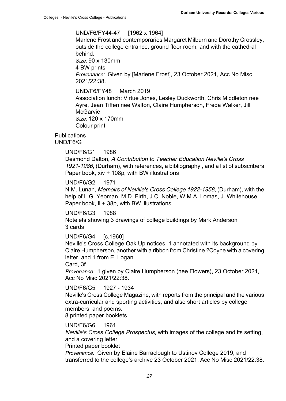#### UND/F6/FY44-47 [1962 x 1964]

Marlene Frost and contemporaries Margaret Milburn and Dorothy Crossley, outside the college entrance, ground floor room, and with the cathedral behind.

Size: 90 x 130mm 4 BW prints

Provenance: Given by [Marlene Frost], 23 October 2021, Acc No Misc 2021/22:38.

UND/F6/FY48 March 2019

Association lunch: Virtue Jones, Lesley Duckworth, Chris Middleton nee Ayre, Jean Tiffen nee Walton, Claire Humpherson, Freda Walker, Jill **McGarvie** Size: 120 x 170mm Colour print

<span id="page-30-0"></span>**Publications** UND/F6/G

UND/F6/G1 1986

Desmond Dalton, A Contribution to Teacher Education Neville's Cross 1921-1986, (Durham), with references, a bibliography , and a list of subscribers Paper book, xiv + 108p, with BW illustrations

UND/F6/G2 1971

N.M. Lunan, Memoirs of Neville's Cross College 1922-1958, (Durham), with the help of L.G. Yeoman, M.D. Firth, J.C. Noble, W.M.A. Lomas, J. Whitehouse Paper book, ii + 38p, with BW illustrations

UND/F6/G3 1988 Notelets showing 3 drawings of college buildings by Mark Anderson 3 cards

UND/F6/G4 [c.1960]

Neville's Cross College Oak Up notices, 1 annotated with its background by Claire Humpherson, another with a ribbon from Christine ?Coyne with a covering letter, and 1 from E. Logan

Card, 3f

Provenance: 1 given by Claire Humpherson (nee Flowers), 23 October 2021, Acc No Misc 2021/22:38.

UND/F6/G5 1927 - 1934

Neville's Cross College Magazine, with reports from the principal and the various extra-curricular and sporting activities, and also short articles by college members, and poems.

8 printed paper booklets

UND/F6/G6 1961 Neville's Cross College Prospectus, with images of the college and its setting, and a covering letter

Printed paper booklet

Provenance: Given by Elaine Barraclough to Ustinov College 2019, and transferred to the college's archive 23 October 2021, Acc No Misc 2021/22:38.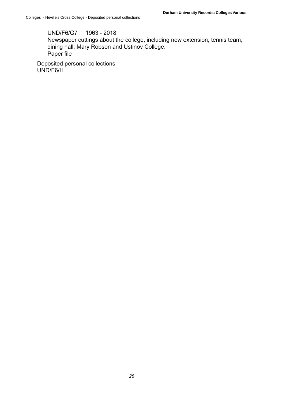#### UND/F6/G7 1963 - 2018

Newspaper cuttings about the college, including new extension, tennis team, dining hall, Mary Robson and Ustinov College. Paper file

<span id="page-31-0"></span>Deposited personal collections UND/F6/H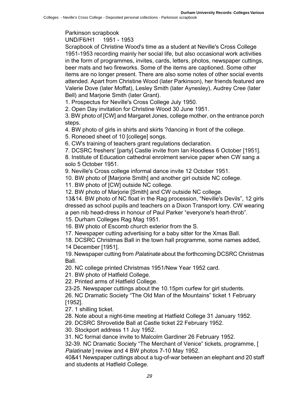<span id="page-32-0"></span>Parkinson scrapbook

UND/F6/H1 1951 - 1953

Scrapbook of Christine Wood's time as a student at Neville's Cross College 1951-1953 recording mainly her social life, but also occasional work activities in the form of programmes, invites, cards, letters, photos, newspaper cuttings, beer mats and two fireworks. Some of the items are captioned. Some other items are no longer present. There are also some notes of other social events attended. Apart from Christine Wood (later Parkinson), her friends featured are Valerie Dove (later Moffat), Lesley Smith (later Aynesley), Audrey Cree (later Bell) and Marjorie Smith (later Grant).

1. Prospectus for Neville's Cross College July 1950.

2. Open Day invitation for Christine Wood 30 June 1951.

3. BW photo of [CW] and Margaret Jones, college mother, on the entrance porch steps.

4. BW photo of girls in shirts and skirts ?dancing in front of the college.

5. Roneoed sheet of 10 [college] songs.

6. CW's training of teachers grant regulations declaration.

7. DCSRC freshers' [party] Castle invite from Ian Hoodless 6 October [1951].

8. Institute of Education cathedral enrolment service paper when CW sang a solo 5 October 1951.

9. Neville's Cross college informal dance invite 12 October 1951.

10. BW photo of [Marjorie Smith] and another girl outside NC college.

11. BW photo of [CW] outside NC college.

12. BW photo of Marjorie [Smith] and CW outside NC college.

13&14. BW photo of NC float in the Rag procession, "Neville's Devils", 12 girls dressed as school pupils and teachers on a Dixon Transport lorry. CW wearing a pen nib head-dress in honour of Paul Parker "everyone's heart-throb".

15. Durham Colleges Rag Mag 1951.

16. BW photo of Escomb church exterior from the S.

17. Newspaper cutting advertising for a baby sitter for the Xmas Ball.

18. DCSRC Christmas Ball in the town hall programme, some names added, 14 December [1951].

19. Newspaper cutting from *Palatinate* about the forthcoming DCSRC Christmas Ball.

20. NC college printed Christmas 1951/New Year 1952 card.

21. BW photo of Hatfield College.

22. Printed arms of Hatfield College.

23-25. Newspaper cuttings about the 10.15pm curfew for girl students.

26. NC Dramatic Society "The Old Man of the Mountains" ticket 1 February [1952].

27. 1 shilling ticket.

28. Note about a night-time meeting at Hatfield College 31 January 1952.

29. DCSRC Shrovetide Ball at Castle ticket 22 February 1952.

30. Stockport address 11 Juy 1952.

31. NC formal dance invite to Malcolm Gardiner 26 February 1952.

32-39. NC Dramatic Society "The Merchant of Venice" tickets, programme, [ Palatinate ] review and 4 BW photos 7-10 May 1952.

40&41 Newspaper cuttings about a tug-of-war between an elephant and 20 staff and students at Hatfield College.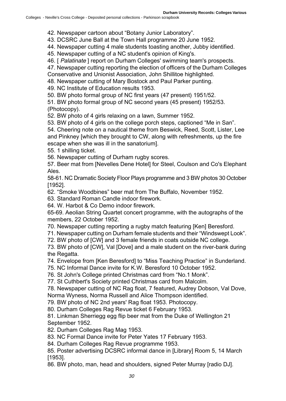42. Newspaper cartoon about "Botany Junior Laboratory".

43. DCSRC June Ball at the Town Hall programme 20 June 1952.

44. Newspaper cutting 4 male students toasting another, Jubby identified.

45. Newspaper cutting of a NC student's opinion of King's.

46. [ Palatinate ] report on Durham Colleges' swimming team's prospects.

47. Newspaper cutting reporting the election of officers of the Durham Colleges

Conservative and Unionist Association, John Shillitoe highlighted.

48. Newspaper cutting of Mary Bostock and Paul Parker punting.

49. NC Institute of Education results 1953.

50. BW photo formal group of NC first years (47 present) 1951/52.

51. BW photo formal group of NC second years (45 present) 1952/53. (Photocopy).

52. BW photo of 4 girls relaxing on a lawn, Summer 1952.

53. BW photo of 4 girls on the college porch steps, captioned "Me in San".

54. Cheering note on a nautical theme from Beswick, Reed, Scott, Lister, Lee and Pinkney [which they brought to CW, along with refreshments, up the fire

escape when she was ill in the sanatorium].

55. 1 shilling ticket.

56. Newspaper cutting of Durham rugby scores.

57. Beer mat from [Nevelles Dene Hotel] for Steel, Coulson and Co's Elephant Ales.

58-61. NC Dramatic Society Floor Plays programme and 3 BW photos 30 October [1952].

62. "Smoke Woodbines" beer mat from The Buffalo, November 1952.

63. Standard Roman Candle indoor firework.

64. W. Harbot & Co Demo indoor firework.

65-69. Aeolian String Quartet concert programme, with the autographs of the members, 22 October 1952.

70. Newspaper cutting reporting a rugby match featuring [Ken] Beresford.

71. Newspaper cutting on Durham female students and their "Windswept Look".

72. BW photo of [CW] and 3 female friends in coats outside NC college.

73. BW photo of [CW], Val [Dove] and a male student on the river-bank during the Regatta.

74. Envelope from [Ken Beresford] to "Miss Teaching Practice" in Sunderland.

75. NC Informal Dance invite for K.W. Beresford 10 October 1952.

76. St John's College printed Christmas card from "No.1 Monk".

77. St Cuthbert's Society printed Christmas card from Malcolm.

78. Newspaper cutting of NC Rag float, 7 featured, Audrey Dobson, Val Dove, Norma Wyness, Norma Russell and Alice Thompson identified.

79. BW photo of NC 2nd years' Rag float 1953. Photocopy.

80. Durham Colleges Rag Revue ticket 6 February 1953.

81. Linkman Sherriegg egg flip beer mat from the Duke of Wellington 21 September 1952.

82. Durham Colleges Rag Mag 1953.

83. NC Formal Dance invite for Peter Yates 17 February 1953.

84. Durham Colleges Rag Revue programme 1953.

85. Poster advertising DCSRC informal dance in [Library] Room 5, 14 March [1953].

86. BW photo, man, head and shoulders, signed Peter Murray [radio DJ].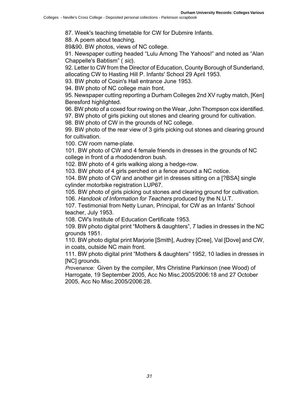Colleges - Neville's Cross College - Deposited personal collections - Parkinson scrapbook

87. Week's teaching timetable for CW for Dubmire Infants.

88. A poem about teaching.

89&90. BW photos, views of NC college.

91. Newspaper cutting headed "Lulu Among The Yahoos!" and noted as "Alan Chappelle's Babtism" ( sic).

92. Letter to CW from the Director of Education, County Borough of Sunderland, allocating CW to Hasting Hill P. Infants' School 29 April 1953.

93. BW photo of Cosin's Hall entrance June 1953.

94. BW photo of NC college main front.

95. Newspaper cutting reporting a Durham Colleges 2nd XV rugby match, [Ken] Beresford highlighted.

96. BW photo of a coxed four rowing on the Wear, John Thompson cox identified.

97. BW photo of girls picking out stones and clearing ground for cultivation.

98. BW photo of CW in the grounds of NC college.

99. BW photo of the rear view of 3 girls picking out stones and clearing ground for cultivation.

100. CW room name-plate.

101. BW photo of CW and 4 female friends in dresses in the grounds of NC college in front of a rhododendron bush.

102. BW photo of 4 girls walking along a hedge-row.

103. BW photo of 4 girls perched on a fence around a NC notice.

104. BW photo of CW and another girl in dresses sitting on a [?BSA] single cylinder motorbike registration LUP67.

105. BW photo of girls picking out stones and clearing ground for cultivation.

106. Handook of Information for Teachers produced by the N.U.T.

107. Testimonial from Netty Lunan, Principal, for CW as an Infants' School teacher, July 1953.

108. CW's Institute of Education Certificate 1953.

109. BW photo digital print "Mothers & daughters", 7 ladies in dresses in the NC grounds 1951.

110. BW photo digital print Marjorie [Smith], Audrey [Cree], Val [Dove] and CW, in coats, outside NC main front.

111. BW photo digital print "Mothers & daughters" 1952, 10 ladies in dresses in [NC] grounds.

Provenance: Given by the compiler, Mrs Christine Parkinson (nee Wood) of Harrogate, 19 September 2005, Acc No Misc.2005/2006:18 and 27 October 2005, Acc No Misc.2005/2006:28.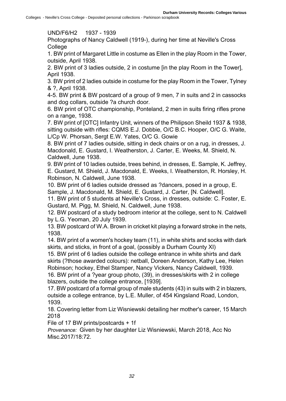UND/F6/H2 1937 - 1939

Photographs of Nancy Caldwell (1919-), during her time at Neville's Cross College

1. BW print of Margaret Little in costume as Ellen in the play Room in the Tower, outside, April 1938.

2. BW print of 3 ladies outside, 2 in costume [in the play Room in the Tower], April 1938.

3. BW print of 2 ladies outside in costume for the play Room in the Tower, Tylney & ?, April 1938.

4-5. BW print & BW postcard of a group of 9 men, 7 in suits and 2 in cassocks and dog collars, outside ?a church door.

6. BW print of OTC championship, Ponteland, 2 men in suits firing rifles prone on a range, 1938.

7. BW print of [OTC] Infantry Unit, winners of the Philipson Sheild 1937 & 1938, sitting outside with rifles: CQMS E.J. Dobbie, O/C B.C. Hooper, O/C G. Waite, L/Cp W. Phorsan, Sergt E.W. Yates, O/C G. Gowie

8. BW print of 7 ladies outside, sitting in deck chairs or on a rug, in dresses, J. Macdonald, E. Gustard, I. Weatherston, J. Carter, E. Weeks, M. Shield, N. Caldwell, June 1938.

9. BW print of 10 ladies outside, trees behind, in dresses, E. Sample, K. Jeffrey, E. Gustard, M. Shield, J. Macdonald, E. Weeks, I. Weatherston, R. Horsley, H. Robinson, N. Caldwell, June 1938.

10. BW print of 6 ladies outside dressed as ?dancers, posed in a group, E. Sample, J. Macdonald, M. Shield, E. Gustard, J. Carter, [N. Caldwell].

11. BW print of 5 students at Neville's Cross, in dresses, outside: C. Foster, E. Gustard, M. Pigg, M. Shield, N. Caldwell, June 1938.

12. BW postcard of a study bedroom interior at the college, sent to N. Caldwell by L.G. Yeoman, 20 July 1939.

13. BW postcard of W.A. Brown in cricket kit playing a forward stroke in the nets, 1938.

14. BW print of a women's hockey team (11), in white shirts and socks with dark skirts, and sticks, in front of a goal, (possibly a Durham County XI)

15. BW print of 6 ladies outside the college entrance in white shirts and dark skirts (?those awarded colours): netball, Doreen Anderson, Kathy Lee, Helen Robinson; hockey, Ethel Stamper, Nancy Vickers, Nancy Caldwell, 1939.

16. BW print of a ?year group photo, (39), in dresses/skirts with 2 in college blazers, outside the college entrance, [1939].

17. BW postcard of a formal group of male students (43) in suits with 2 in blazers, outside a college entrance, by L.E. Muller, of 454 Kingsland Road, London, 1939.

18. Covering letter from Liz Wisniewski detailing her mother's career, 15 March 2018

File of 17 BW prints/postcards + 1f

Provenance: Given by her daughter Liz Wisniewski, March 2018, Acc No Misc.2017/18:72.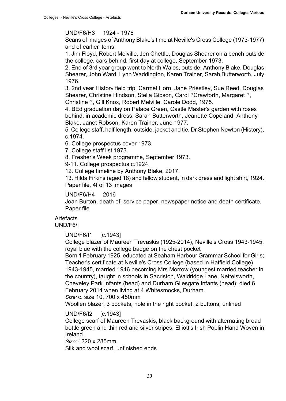### UND/F6/H3 1924 - 1976

Scans of images of Anthony Blake's time at Neville's Cross College (1973-1977) and of earlier items.

1. Jim Floyd, Robert Melville, Jen Chettle, Douglas Shearer on a bench outside the college, cars behind, first day at college, September 1973.

2. End of 3rd year group went to North Wales, outside: Anthony Blake, Douglas Shearer, John Ward, Lynn Waddington, Karen Trainer, Sarah Butterworth, July 1976.

3. 2nd year History field trip: Carmel Horn, Jane Priestley, Sue Reed, Douglas Shearer, Christine Hindson, Stella Gibson, Carol ?Crawforth, Margaret ?, Christine ?, Gill Knox, Robert Melville, Carole Dodd, 1975.

4. BEd graduation day on Palace Green, Castle Master's garden with roses behind, in academic dress: Sarah Butterworth, Jeanette Copeland, Anthony Blake, Janet Robson, Karen Trainer, June 1977.

5. College staff, half length, outside, jacket and tie, Dr Stephen Newton (History), c.1974.

6. College prospectus cover 1973.

7. College staff list 1973.

8. Fresher's Week programme, September 1973.

9-11. College prospectus c.1924.

12. College timeline by Anthony Blake, 2017.

13. Hilda Firkins (aged 18) and fellow student, in dark dress and light shirt, 1924. Paper file, 4f of 13 images

### <span id="page-36-0"></span>UND/F6/H4 2016

Joan Burton, death of: service paper, newspaper notice and death certificate. Paper file

### **Artefacts**

UND/F6/I

UND/F6/I1 [c.1943]

College blazer of Maureen Trevaskis (1925-2014), Neville's Cross 1943-1945, royal blue with the college badge on the chest pocket

Born 1 February 1925, educated at Seaham Harbour Grammar School for Girls; Teacher's certificate at Neville's Cross College (based in Hatfield College) 1943-1945, married 1946 becoming Mrs Morrow (youngest married teacher in the country), taught in schools in Sacriston, Waldridge Lane, Nettelsworth, Cheveley Park Infants (head) and Durham Gilesgate Infants (head); died 6 February 2014 when living at 4 Whitesmocks, Durham.

Size: c. size 10, 700 x 450mm

Woollen blazer, 3 pockets, hole in the right pocket, 2 buttons, unlined

### UND/F6/I2 [c.1943]

College scarf of Maureen Trevaskis, black background with alternating broad bottle green and thin red and silver stripes, Elliott's Irish Poplin Hand Woven in Ireland.

Size: 1220 x 285mm

Silk and wool scarf, unfinished ends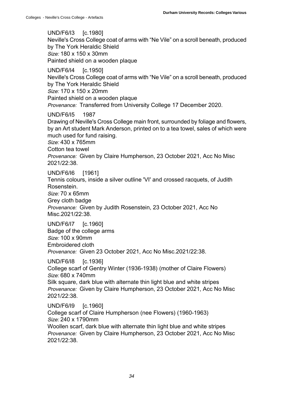UND/F6/I3 [c.1980] Neville's Cross College coat of arms with "Ne Vile" on a scroll beneath, produced by The York Heraldic Shield Size: 180 x 150 x 30mm Painted shield on a wooden plaque

UND/F6/I4 [c.1950] Neville's Cross College coat of arms with "Ne Vile" on a scroll beneath, produced by The York Heraldic Shield Size: 170 x 150 x 20mm Painted shield on a wooden plaque Provenance: Transferred from University College 17 December 2020.

#### UND/F6/I5 1987

Drawing of Neville's Cross College main front, surrounded by foliage and flowers, by an Art student Mark Anderson, printed on to a tea towel, sales of which were much used for fund raising.

Size: 430 x 765mm

Cotton tea towel

Provenance: Given by Claire Humpherson, 23 October 2021, Acc No Misc 2021/22:38.

UND/F6/I6 [1961]

Tennis colours, inside a silver outline 'VI' and crossed racquets, of Judith Rosenstein. Size: 70 x 65mm

Grey cloth badge

Provenance: Given by Judith Rosenstein, 23 October 2021, Acc No Misc.2021/22:38.

UND/F6/I7 [c.1960] Badge of the college arms Size: 100 x 90mm Embroidered cloth Provenance: Given 23 October 2021, Acc No Misc.2021/22:38.

UND/F6/I8 [c.1936] College scarf of Gentry Winter (1936-1938) (mother of Claire Flowers) Size: 680 x 740mm Silk square, dark blue with alternate thin light blue and white stripes Provenance: Given by Claire Humpherson, 23 October 2021, Acc No Misc 2021/22:38.

UND/F6/I9 [c.1960] College scarf of Claire Humpherson (nee Flowers) (1960-1963) Size: 240 x 1790mm Woollen scarf, dark blue with alternate thin light blue and white stripes Provenance: Given by Claire Humpherson, 23 October 2021, Acc No Misc 2021/22:38.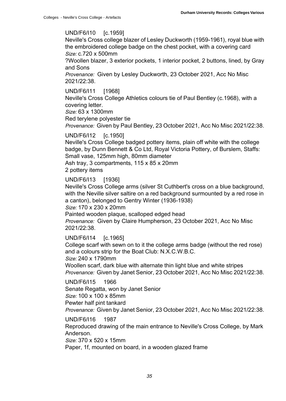### UND/F6/I10 [c.1959]

Neville's Cross college blazer of Lesley Duckworth (1959-1961), royal blue with the embroidered college badge on the chest pocket, with a covering card Size: c.720 x 500mm

?Woollen blazer, 3 exterior pockets, 1 interior pocket, 2 buttons, lined, by Gray and Sons

Provenance: Given by Lesley Duckworth, 23 October 2021, Acc No Misc 2021/22:38.

UND/F6/I11 [1968]

Neville's Cross College Athletics colours tie of Paul Bentley (c.1968), with a covering letter.

Size: 63 x 1300mm

Red terylene polyester tie

Provenance: Given by Paul Bentley, 23 October 2021, Acc No Misc 2021/22:38.

### UND/F6/I12 [c.1950]

Neville's Cross College badged pottery items, plain off white with the college badge, by Dunn Bennett & Co Ltd, Royal Victoria Pottery, of Burslem, Staffs: Small vase, 125mm high, 80mm diameter

Ash tray, 3 compartments, 115 x 85 x 20mm

2 pottery items

### UND/F6/I13 [1936]

Neville's Cross College arms (silver St Cuthbert's cross on a blue background, with the Neville silver saltire on a red background surmounted by a red rose in a canton), belonged to Gentry Winter (1936-1938)

Size: 170 x 230 x 20mm

Painted wooden plaque, scalloped edged head

Provenance: Given by Claire Humpherson, 23 October 2021, Acc No Misc 2021/22:38.

### UND/F6/I14 [c.1965]

College scarf with sewn on to it the college arms badge (without the red rose) and a colours strip for the Boat Club: N.X.C.W.B.C.

Size: 240 x 1790mm

Woollen scarf, dark blue with alternate thin light blue and white stripes Provenance: Given by Janet Senior, 23 October 2021, Acc No Misc 2021/22:38.

UND/F6/I15 1966

Senate Regatta, won by Janet Senior Size: 100 x 100 x 85mm Pewter half pint tankard Provenance: Given by Janet Senior, 23 October 2021, Acc No Misc 2021/22:38.

UND/F6/I16 1987

Reproduced drawing of the main entrance to Neville's Cross College, by Mark Anderson.

Size: 370 x 520 x 15mm

Paper, 1f, mounted on board, in a wooden glazed frame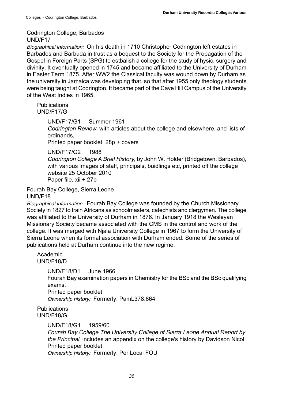### <span id="page-39-0"></span>Codrington College, Barbados

UND/F17

Biographical information: On his death in 1710 Christopher Codrington left estates in Barbados and Barbuda in trust as a bequest to the Society for the Propagation of the Gospel in Foreign Parts (SPG) to estbalish a college for the study of hysic, surgery and divinity. It eventually opened in 1745 and became affiliated to the University of Durham in Easter Term 1875. After WW2 the Classical faculty was wound down by Durham as the university in Jamaica was developing that, so that after 1955 only theology students were being taught at Codrington. It became part of the Cave Hill Campus of the University of the West Indies in 1965.

<span id="page-39-1"></span>**Publications** UND/F17/G

> UND/F17/G1 Summer 1961 Codrington Review, with articles about the college and elsewhere, and lists of ordinands, Printed paper booklet, 28p + covers

UND/F17/G2 1988

Codrington College A Brief History, by John W. Holder (Bridgetown, Barbados), with various images of staff, principals, buidlings etc, printed off the college website 25 October 2010 Paper file, xii + 27p

<span id="page-39-2"></span>Fourah Bay College, Sierra Leone UND/F18

Biographical information: Fourah Bay College was founded by the Church Missionary Society in 1827 to train Africans as schoolmasters, catechists and clergymen. The college was affiliated to the University of Durham in 1876. In January 1918 the Wesleyan Missionary Society became associated with the CMS in the control and work of the college. It was merged with Njala University College in 1967 to form the University of Sierra Leone when its formal association with Durham ended. Some of the series of publications held at Durham continue into the new regime.

<span id="page-39-3"></span>Academic UND/F18/D

> <span id="page-39-4"></span>UND/F18/D1 June 1966 Fourah Bay examination papers in Chemistry for the BSc and the BSc qualifying exams. Printed paper booklet

Ownership history: Formerly: PamL378.664

**Publications** UND/F18/G

UND/F18/G1 1959/60

Fourah Bay College The University College of Sierra Leone Annual Report by the Principal, includes an appendix on the college's history by Davidson Nicol Printed paper booklet

Ownership history: Formerly: Per Local FOU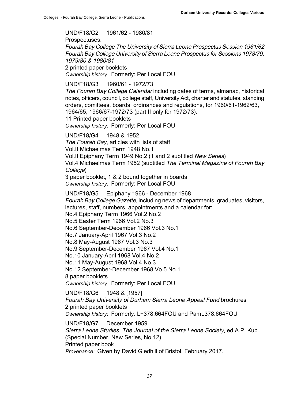### UND/F18/G2 1961/62 - 1980/81

Prospectuses:

Fourah Bay College The University of Sierra Leone Prospectus Session 1961/62 Fourah Bay College University of Sierra Leone Prospectus for Sessions 1978/79, 1979/80 & 1980/81

2 printed paper booklets

Ownership history: Formerly: Per Local FOU

UND/F18/G3 1960/61 - 1972/73

The Fourah Bay College Calendar including dates of terms, almanac, historical notes, officers, council, college staff, University Act, charter and statutes, standing orders, comittees, boards, ordinances and regulations, for 1960/61-1962/63, 1964/65, 1966/67-1972/73 (part II only for 1972/73).

11 Printed paper booklets

Ownership history: Formerly: Per Local FOU

UND/F18/G4 1948 & 1952

The Fourah Bay, articles with lists of staff

Vol.II Michaelmas Term 1948 No.1

Vol.II Epiphany Term 1949 No.2 (1 and 2 subtitled New Series)

Vol.4 Michaelmas Term 1952 (subtitled The Terminal Magazine of Fourah Bay College)

3 paper booklet, 1 & 2 bound together in boards

Ownership history: Formerly: Per Local FOU

UND/F18/G5 Epiphany 1966 - December 1968 Fourah Bay College Gazette, including news of departments, graduates, visitors, lectures, staff, numbers, appointments and a calendar for:

No.4 Epiphany Term 1966 Vol.2 No.2

No.5 Easter Term 1966 Vol.2 No.3

No.6 September-December 1966 Vol.3 No.1

No.7 January-April 1967 Vol.3 No.2

No.8 May-August 1967 Vol.3 No.3

No.9 September-December 1967 Vol.4 No.1

No.10 January-April 1968 Vol.4 No.2

No.11 May-August 1968 Vol.4 No.3

No.12 September-December 1968 Vo.5 No.1

8 paper booklets

Ownership history: Formerly: Per Local FOU

UND/F18/G6 1948 & [1957] Fourah Bay University of Durham Sierra Leone Appeal Fund brochures 2 printed paper booklets Ownership history: Formerly: L+378.664FOU and PamL378.664FOU

UND/F18/G7 December 1959

Sierra Leone Studies, The Journal of the Sierra Leone Society, ed A.P. Kup (Special Number, New Series, No.12) Printed paper book

Provenance: Given by David Gledhill of Bristol, February 2017.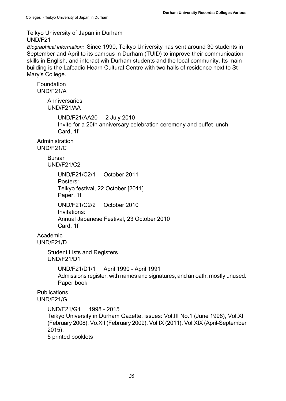<span id="page-41-7"></span><span id="page-41-6"></span><span id="page-41-5"></span><span id="page-41-4"></span><span id="page-41-3"></span><span id="page-41-2"></span><span id="page-41-1"></span><span id="page-41-0"></span>Teikyo University of Japan in Durham UND/F21 Biographical information: Since 1990, Teikyo University has sent around 30 students in September and April to its campus in Durham (TUID) to improve their communication skills in English, and interact wih Durham students and the local community. Its main building is the Lafcadio Hearn Cultural Centre with two halls of residence next to St Mary's College. Foundation UND/F21/A Anniversaries UND/F21/AA UND/F21/AA20 2 July 2010 Invite for a 20th anniversary celebration ceremony and buffet lunch Card, 1f **Administration** UND/F21/C Bursar UND/F21/C2 UND/F21/C2/1 October 2011 Posters: Teikyo festival, 22 October [2011] Paper, 1f UND/F21/C2/2 October 2010 Invitations: Annual Japanese Festival, 23 October 2010 Card, 1f Academic UND/F21/D Student Lists and Registers UND/F21/D1 UND/F21/D1/1 April 1990 - April 1991 Admissions register, with names and signatures, and an oath; mostly unused. Paper book **Publications** UND/F21/G UND/F21/G1 1998 - 2015 Teikyo University in Durham Gazette, issues: Vol.III No.1 (June 1998), Vol.XI (February 2008), Vo.XII (February 2009), Vol.IX (2011), Vol.XIX (April-September 2015). 5 printed booklets